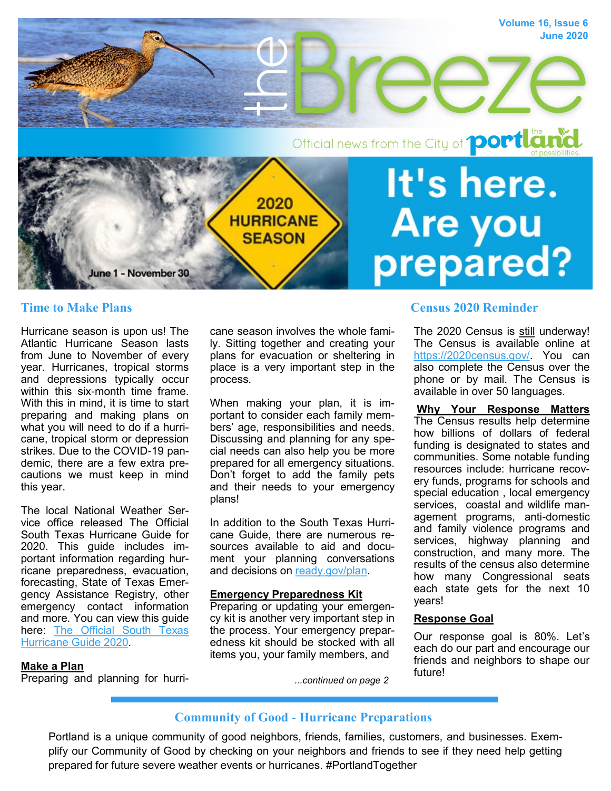

Hurricane season is upon us! The Atlantic Hurricane Season lasts from June to November of every year. Hurricanes, tropical storms and depressions typically occur within this six-month time frame. With this in mind, it is time to start preparing and making plans on what you will need to do if a hurricane, tropical storm or depression strikes. Due to the COVID-19 pandemic, there are a few extra precautions we must keep in mind this year.

The local National Weather Service office released The Official South Texas Hurricane Guide for 2020. This guide includes important information regarding hurricane preparedness, evacuation, forecasting, State of Texas Emergency Assistance Registry, other emergency contact information and more. You can view this guide here: [The Official South Texas](https://www.weather.gov/media/crp/Hurricane_Guide_Final_English.pdf)  [Hurricane Guide 2020.](https://www.weather.gov/media/crp/Hurricane_Guide_Final_English.pdf)

cane season involves the whole family. Sitting together and creating your plans for evacuation or sheltering in place is a very important step in the process.

When making your plan, it is important to consider each family members' age, responsibilities and needs. Discussing and planning for any special needs can also help you be more prepared for all emergency situations. Don't forget to add the family pets and their needs to your emergency plans!

In addition to the South Texas Hurricane Guide, there are numerous resources available to aid and document your planning conversations and decisions on [ready.gov/plan.](https://www.ready.gov/plan)

#### **Emergency Preparedness Kit**

Preparing or updating your emergency kit is another very important step in the process. Your emergency preparedness kit should be stocked with all items you, your family members, and

# **Time to Make Plans** Census 2020 Reminder

The 2020 Census is still underway! The Census is available online at [https://2020census.gov/.](https://2020census.gov/) You can also complete the Census over the phone or by mail. The Census is available in over 50 languages.

**Why Your Response Matters** The Census results help determine how billions of dollars of federal funding is designated to states and communities. Some notable funding resources include: hurricane recovery funds, programs for schools and special education , local emergency services, coastal and wildlife management programs, anti-domestic and family violence programs and services, highway planning and construction, and many more. The results of the census also determine how many Congressional seats each state gets for the next 10 years!

#### **Response Goal**

Our response goal is 80%. Let's each do our part and encourage our friends and neighbors to shape our future!

#### **Make a Plan**

Preparing and planning for hurri-

*...continued on page 2*

## **Community of Good - Hurricane Preparations**

Portland is a unique community of good neighbors, friends, families, customers, and businesses. Exemplify our Community of Good by checking on your neighbors and friends to see if they need help getting prepared for future severe weather events or hurricanes. #PortlandTogether